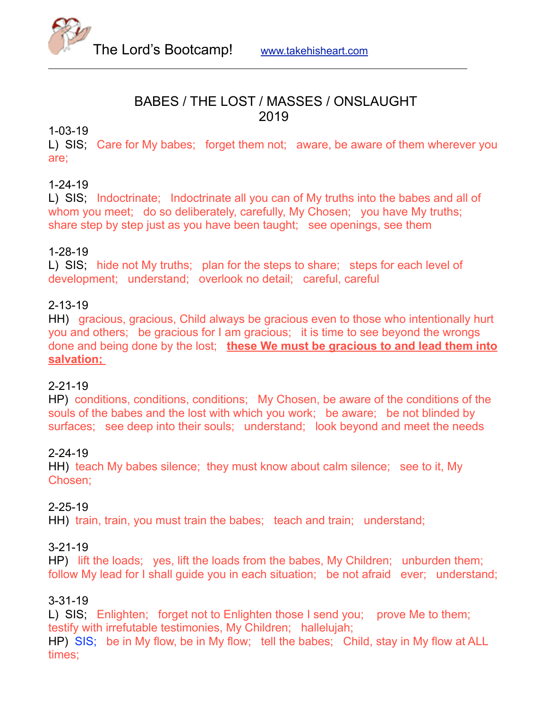

### BABES / THE LOST / MASSES / ONSLAUGHT 2019

### 1-03-19

L) SIS; Care for My babes; forget them not; aware, be aware of them wherever you are;

### 1-24-19

L) SIS; Indoctrinate; Indoctrinate all you can of My truths into the babes and all of whom you meet; do so deliberately, carefully, My Chosen; you have My truths; share step by step just as you have been taught; see openings, see them

### 1-28-19

L) SIS; hide not My truths; plan for the steps to share; steps for each level of development; understand; overlook no detail; careful, careful

### 2-13-19

HH) gracious, gracious, Child always be gracious even to those who intentionally hurt you and others; be gracious for I am gracious; it is time to see beyond the wrongs done and being done by the lost; **these We must be gracious to and lead them into salvation;** 

### 2-21-19

HP) conditions, conditions, conditions; My Chosen, be aware of the conditions of the souls of the babes and the lost with which you work; be aware; be not blinded by surfaces; see deep into their souls; understand; look beyond and meet the needs

### 2-24-19

HH) teach My babes silence; they must know about calm silence; see to it, My Chosen;

### 2-25-19

HH) train, train, you must train the babes; teach and train; understand;

### 3-21-19

HP) lift the loads; yes, lift the loads from the babes, My Children; unburden them; follow My lead for I shall guide you in each situation; be not afraid ever; understand;

### 3-31-19

L) SIS; Enlighten; forget not to Enlighten those I send you; prove Me to them; testify with irrefutable testimonies, My Children; hallelujah; HP) SIS; be in My flow, be in My flow; tell the babes; Child, stay in My flow at ALL

times;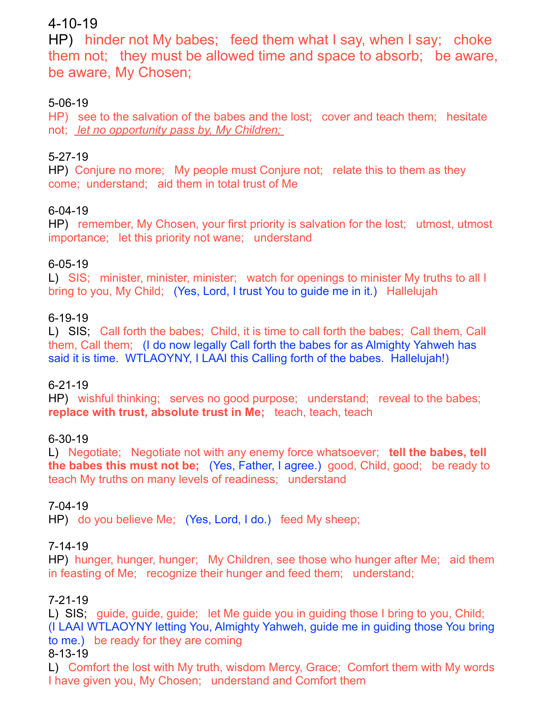# 4-10-19

HP) hinder not My babes; feed them what I say, when I say; choke them not; they must be allowed time and space to absorb; be aware, be aware, My Chosen;

# 5-06-19

HP) see to the salvation of the babes and the lost; cover and teach them; hesitate not; *let no opportunity pass by, My Children;* 

# 5-27-19

HP) Conjure no more; My people must Conjure not; relate this to them as they come; understand; aid them in total trust of Me

# 6-04-19

HP) remember, My Chosen, your first priority is salvation for the lost; utmost, utmost importance; let this priority not wane; understand

# 6-05-19

L) SIS; minister, minister, minister; watch for openings to minister My truths to all I bring to you, My Child; (Yes, Lord, I trust You to guide me in it.) Hallelujah

# 6-19-19

L) SIS; Call forth the babes; Child, it is time to call forth the babes; Call them, Call them, Call them; (I do now legally Call forth the babes for as Almighty Yahweh has said it is time. WTLAOYNY, I LAAI this Calling forth of the babes. Hallelujah!)

# 6-21-19

HP) wishful thinking; serves no good purpose; understand; reveal to the babes; **replace with trust, absolute trust in Me;** teach, teach, teach

# 6-30-19

L) Negotiate; Negotiate not with any enemy force whatsoever; **tell the babes, tell the babes this must not be;** (Yes, Father, I agree.) good, Child, good; be ready to teach My truths on many levels of readiness; understand

# 7-04-19

HP) do you believe Me; (Yes, Lord, I do.) feed My sheep;

# 7-14-19

HP) hunger, hunger, hunger; My Children, see those who hunger after Me; aid them in feasting of Me; recognize their hunger and feed them; understand;

# 7-21-19

L) SIS; guide, guide, guide; let Me guide you in guiding those I bring to you, Child; (I LAAI WTLAOYNY letting You, Almighty Yahweh, guide me in guiding those You bring to me.) be ready for they are coming

### 8-13-19

L) Comfort the lost with My truth, wisdom Mercy, Grace; Comfort them with My words I have given you, My Chosen; understand and Comfort them